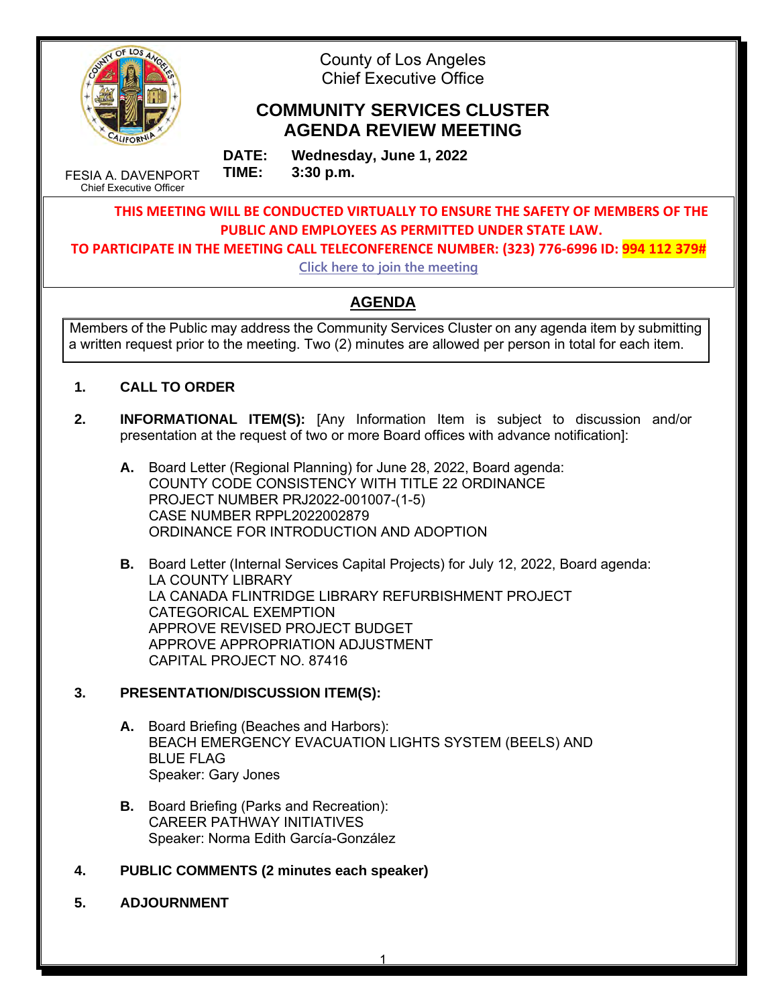

County of Los Angeles Chief Executive Office

# **COMMUNITY SERVICES CLUSTER AGENDA REVIEW MEETING**

FESIA A. DAVENPORT Chief Executive Officer

**DATE: Wednesday, June 1, 2022 TIME: 3:30 p.m.** 

**THIS MEETING WILL BE CONDUCTED VIRTUALLY TO ENSURE THE SAFETY OF MEMBERS OF THE PUBLIC AND EMPLOYEES AS PERMITTED UNDER STATE LAW.**

**TO PARTICIPATE IN THE MEETING CALL TELECONFERENCE NUMBER: (323) 776-6996 ID: 994 112 379#**

**[Click here to join the meeting](https://teams.microsoft.com/l/meetup-join/19%3ameeting_N2EzMzMyMmMtMzM3ZS00ZDMwLWJhODktM2I4ZDQxOTY1MWZm%40thread.v2/0?context=%7b%22Tid%22%3a%2207597248-ea38-451b-8abe-a638eddbac81%22%2c%22Oid%22%3a%2271032d91-179e-4c70-a08a-4f289944f163%22%7d)**

# **AGENDA**

Members of the Public may address the Community Services Cluster on any agenda item by submitting a written request prior to the meeting. Two (2) minutes are allowed per person in total for each item.

- **1. CALL TO ORDER**
- **2. INFORMATIONAL ITEM(S):** [Any Information Item is subject to discussion and/or presentation at the request of two or more Board offices with advance notification]:
	- **A.** Board Letter (Regional Planning) for June 28, 2022, Board agenda: COUNTY CODE CONSISTENCY WITH TITLE 22 ORDINANCE PROJECT NUMBER PRJ2022-001007-(1-5) CASE NUMBER RPPL2022002879 ORDINANCE FOR INTRODUCTION AND ADOPTION
	- **B.** Board Letter (Internal Services Capital Projects) for July 12, 2022, Board agenda: LA COUNTY LIBRARY LA CANADA FLINTRIDGE LIBRARY REFURBISHMENT PROJECT CATEGORICAL EXEMPTION APPROVE REVISED PROJECT BUDGET APPROVE APPROPRIATION ADJUSTMENT CAPITAL PROJECT NO. 87416

# **3. PRESENTATION/DISCUSSION ITEM(S):**

- **A.** Board Briefing (Beaches and Harbors): BEACH EMERGENCY EVACUATION LIGHTS SYSTEM (BEELS) AND BLUE FLAG Speaker: Gary Jones
- **B.** Board Briefing (Parks and Recreation): CAREER PATHWAY INITIATIVES Speaker: Norma Edith García-González
- **4. PUBLIC COMMENTS (2 minutes each speaker)**
- **5. ADJOURNMENT**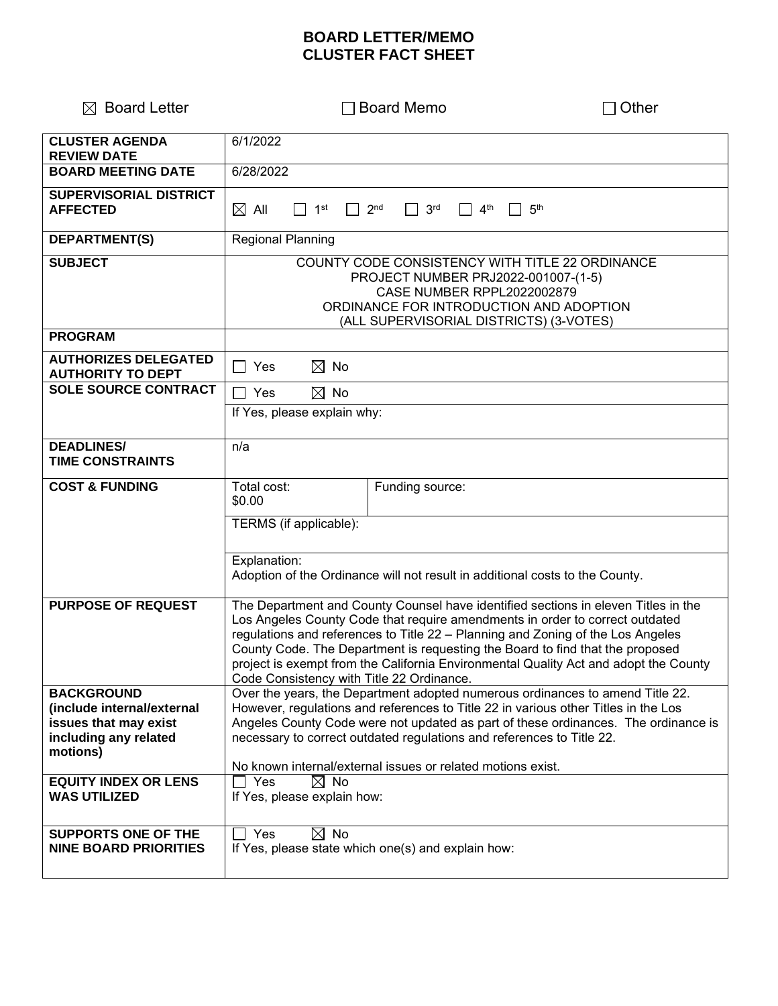# **BOARD LETTER/MEMO CLUSTER FACT SHEET**

| $\boxtimes$ Board Letter                                                                                      | <b>Board Memo</b>                                                                                                                                                                                                                                                                                                                                                                                                                                                           | <b>Other</b>    |  |
|---------------------------------------------------------------------------------------------------------------|-----------------------------------------------------------------------------------------------------------------------------------------------------------------------------------------------------------------------------------------------------------------------------------------------------------------------------------------------------------------------------------------------------------------------------------------------------------------------------|-----------------|--|
| <b>CLUSTER AGENDA</b><br><b>REVIEW DATE</b>                                                                   | 6/1/2022                                                                                                                                                                                                                                                                                                                                                                                                                                                                    |                 |  |
| <b>BOARD MEETING DATE</b>                                                                                     | 6/28/2022                                                                                                                                                                                                                                                                                                                                                                                                                                                                   |                 |  |
| <b>SUPERVISORIAL DISTRICT</b><br><b>AFFECTED</b>                                                              | 3 <sup>rd</sup><br>4 <sup>th</sup><br>$\boxtimes$ aii<br>1 <sup>st</sup><br>2 <sub>nd</sub>                                                                                                                                                                                                                                                                                                                                                                                 | 5 <sup>th</sup> |  |
| DEPARTMENT(S)                                                                                                 | <b>Regional Planning</b>                                                                                                                                                                                                                                                                                                                                                                                                                                                    |                 |  |
| <b>SUBJECT</b>                                                                                                | COUNTY CODE CONSISTENCY WITH TITLE 22 ORDINANCE<br>PROJECT NUMBER PRJ2022-001007-(1-5)<br><b>CASE NUMBER RPPL2022002879</b><br>ORDINANCE FOR INTRODUCTION AND ADOPTION<br>(ALL SUPERVISORIAL DISTRICTS) (3-VOTES)                                                                                                                                                                                                                                                           |                 |  |
| <b>PROGRAM</b>                                                                                                |                                                                                                                                                                                                                                                                                                                                                                                                                                                                             |                 |  |
| <b>AUTHORIZES DELEGATED</b><br><b>AUTHORITY TO DEPT</b>                                                       | $\boxtimes$ No<br>  Yes                                                                                                                                                                                                                                                                                                                                                                                                                                                     |                 |  |
| <b>SOLE SOURCE CONTRACT</b>                                                                                   | $\boxtimes$ No<br>Yes                                                                                                                                                                                                                                                                                                                                                                                                                                                       |                 |  |
|                                                                                                               | If Yes, please explain why:                                                                                                                                                                                                                                                                                                                                                                                                                                                 |                 |  |
| <b>DEADLINES/</b><br><b>TIME CONSTRAINTS</b>                                                                  | n/a                                                                                                                                                                                                                                                                                                                                                                                                                                                                         |                 |  |
| <b>COST &amp; FUNDING</b>                                                                                     | Total cost:<br>Funding source:<br>\$0.00                                                                                                                                                                                                                                                                                                                                                                                                                                    |                 |  |
|                                                                                                               | TERMS (if applicable):                                                                                                                                                                                                                                                                                                                                                                                                                                                      |                 |  |
|                                                                                                               | Explanation:<br>Adoption of the Ordinance will not result in additional costs to the County.                                                                                                                                                                                                                                                                                                                                                                                |                 |  |
| <b>PURPOSE OF REQUEST</b>                                                                                     | The Department and County Counsel have identified sections in eleven Titles in the<br>Los Angeles County Code that require amendments in order to correct outdated<br>regulations and references to Title 22 - Planning and Zoning of the Los Angeles<br>County Code. The Department is requesting the Board to find that the proposed<br>project is exempt from the California Environmental Quality Act and adopt the County<br>Code Consistency with Title 22 Ordinance. |                 |  |
| <b>BACKGROUND</b><br>(include internal/external<br>issues that may exist<br>including any related<br>motions) | Over the years, the Department adopted numerous ordinances to amend Title 22.<br>However, regulations and references to Title 22 in various other Titles in the Los<br>Angeles County Code were not updated as part of these ordinances. The ordinance is<br>necessary to correct outdated regulations and references to Title 22.<br>No known internal/external issues or related motions exist.                                                                           |                 |  |
| <b>EQUITY INDEX OR LENS</b><br><b>WAS UTILIZED</b>                                                            | $\boxtimes$ No<br>  Yes<br>If Yes, please explain how:                                                                                                                                                                                                                                                                                                                                                                                                                      |                 |  |
| <b>SUPPORTS ONE OF THE</b><br><b>NINE BOARD PRIORITIES</b>                                                    | Yes<br>$\boxtimes$ No<br>If Yes, please state which one(s) and explain how:                                                                                                                                                                                                                                                                                                                                                                                                 |                 |  |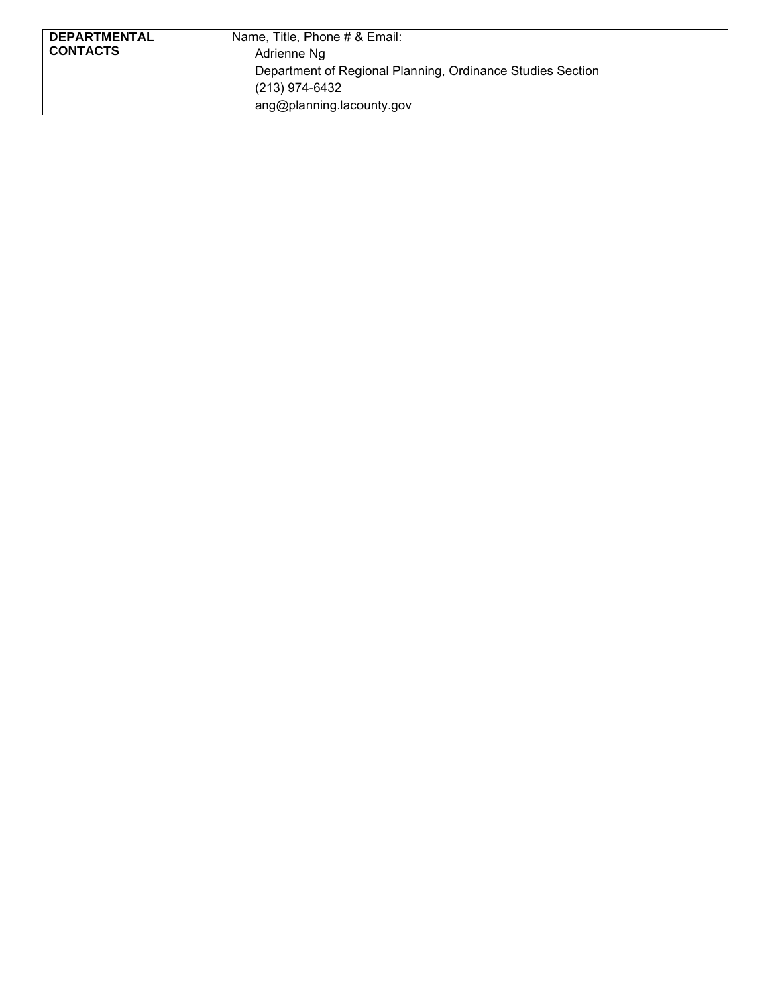| <b>DEPARTMENTAL</b> | Name, Title, Phone # & Email:                              |
|---------------------|------------------------------------------------------------|
| <b>CONTACTS</b>     |                                                            |
|                     | Adrienne Ng                                                |
|                     | Department of Regional Planning, Ordinance Studies Section |
|                     | (213) 974-6432                                             |
|                     | ang@planning.lacounty.gov                                  |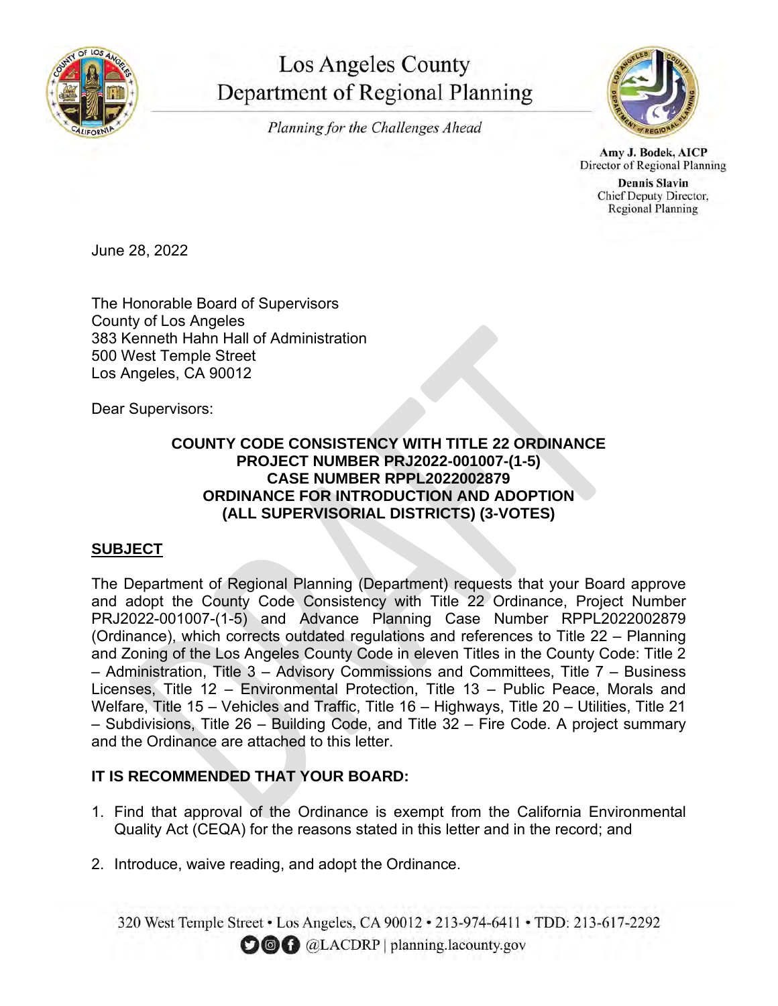

# **Los Angeles County** Department of Regional Planning

Planning for the Challenges Ahead



Amy J. Bodek, AICP Director of Regional Planning

**Dennis Slavin** Chief Deputy Director, **Regional Planning** 

June 28, 2022

The Honorable Board of Supervisors County of Los Angeles 383 Kenneth Hahn Hall of Administration 500 West Temple Street Los Angeles, CA 90012

Dear Supervisors:

## **COUNTY CODE CONSISTENCY WITH TITLE 22 ORDINANCE PROJECT NUMBER PRJ2022-001007-(1-5) CASE NUMBER RPPL2022002879 ORDINANCE FOR INTRODUCTION AND ADOPTION (ALL SUPERVISORIAL DISTRICTS) (3-VOTES)**

# **SUBJECT**

The Department of Regional Planning (Department) requests that your Board approve and adopt the County Code Consistency with Title 22 Ordinance, Project Number PRJ2022-001007-(1-5) and Advance Planning Case Number RPPL2022002879 (Ordinance), which corrects outdated regulations and references to Title 22 – Planning and Zoning of the Los Angeles County Code in eleven Titles in the County Code: Title 2 – Administration, Title 3 – Advisory Commissions and Committees, Title 7 – Business Licenses, Title 12 – Environmental Protection, Title 13 – Public Peace, Morals and Welfare, Title 15 – Vehicles and Traffic, Title 16 – Highways, Title 20 – Utilities, Title 21 – Subdivisions, Title 26 – Building Code, and Title 32 – Fire Code. A project summary and the Ordinance are attached to this letter.

# **IT IS RECOMMENDED THAT YOUR BOARD:**

- 1. Find that approval of the Ordinance is exempt from the California Environmental Quality Act (CEQA) for the reasons stated in this letter and in the record; and
- 2. Introduce, waive reading, and adopt the Ordinance.

320 West Temple Street • Los Angeles, CA 90012 • 213-974-6411 • TDD: 213-617-2292 **OOC** @LACDRP | planning.lacounty.gov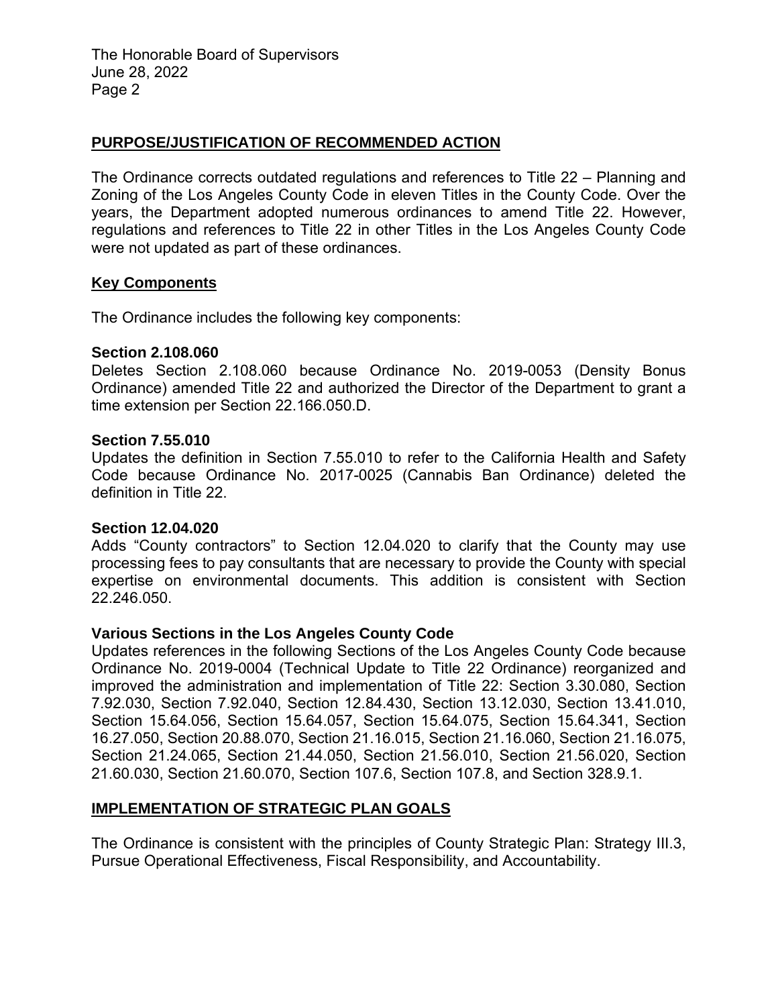The Honorable Board of Supervisors June 28, 2022 Page 2

### **PURPOSE/JUSTIFICATION OF RECOMMENDED ACTION**

The Ordinance corrects outdated regulations and references to Title 22 – Planning and Zoning of the Los Angeles County Code in eleven Titles in the County Code. Over the years, the Department adopted numerous ordinances to amend Title 22. However, regulations and references to Title 22 in other Titles in the Los Angeles County Code were not updated as part of these ordinances.

### **Key Components**

The Ordinance includes the following key components:

### **Section 2.108.060**

Deletes Section 2.108.060 because Ordinance No. 2019-0053 (Density Bonus Ordinance) amended Title 22 and authorized the Director of the Department to grant a time extension per Section 22.166.050.D.

### **Section 7.55.010**

Updates the definition in Section 7.55.010 to refer to the California Health and Safety Code because Ordinance No. 2017-0025 (Cannabis Ban Ordinance) deleted the definition in Title 22.

### **Section 12.04.020**

Adds "County contractors" to Section 12.04.020 to clarify that the County may use processing fees to pay consultants that are necessary to provide the County with special expertise on environmental documents. This addition is consistent with Section 22.246.050.

### **Various Sections in the Los Angeles County Code**

Updates references in the following Sections of the Los Angeles County Code because Ordinance No. 2019-0004 (Technical Update to Title 22 Ordinance) reorganized and improved the administration and implementation of Title 22: Section 3.30.080, Section 7.92.030, Section 7.92.040, Section 12.84.430, Section 13.12.030, Section 13.41.010, Section 15.64.056, Section 15.64.057, Section 15.64.075, Section 15.64.341, Section 16.27.050, Section 20.88.070, Section 21.16.015, Section 21.16.060, Section 21.16.075, Section 21.24.065, Section 21.44.050, Section 21.56.010, Section 21.56.020, Section 21.60.030, Section 21.60.070, Section 107.6, Section 107.8, and Section 328.9.1.

### **IMPLEMENTATION OF STRATEGIC PLAN GOALS**

The Ordinance is consistent with the principles of County Strategic Plan: Strategy III.3, Pursue Operational Effectiveness, Fiscal Responsibility, and Accountability.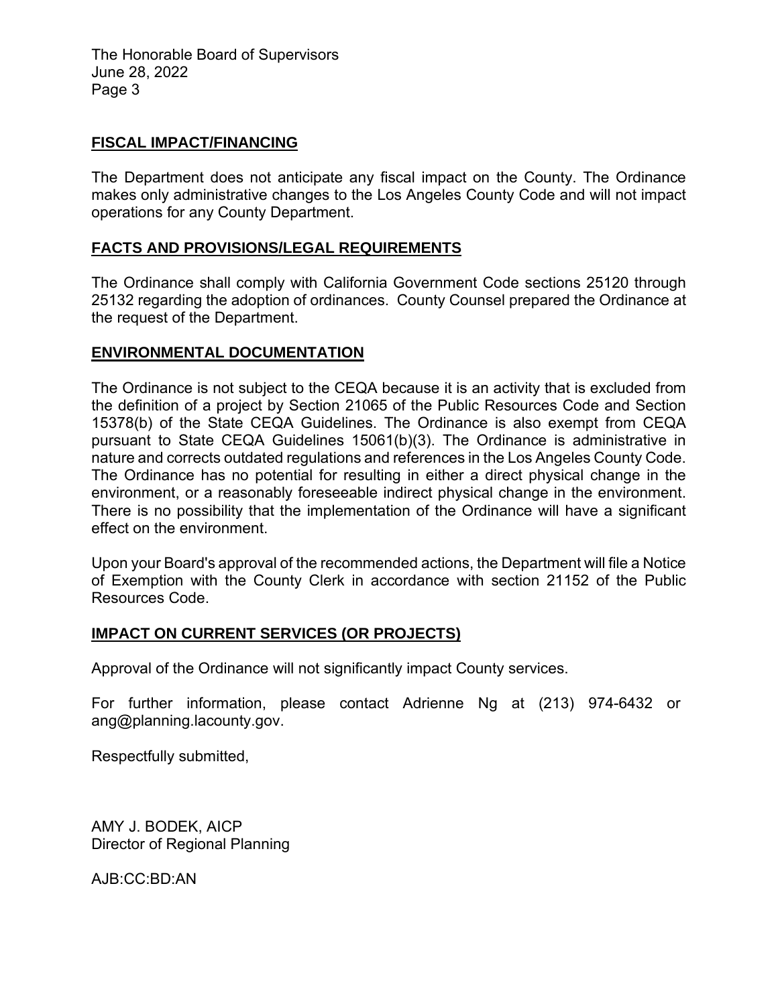The Honorable Board of Supervisors June 28, 2022 Page 3

### **FISCAL IMPACT/FINANCING**

The Department does not anticipate any fiscal impact on the County. The Ordinance makes only administrative changes to the Los Angeles County Code and will not impact operations for any County Department.

### **FACTS AND PROVISIONS/LEGAL REQUIREMENTS**

The Ordinance shall comply with California Government Code sections 25120 through 25132 regarding the adoption of ordinances. County Counsel prepared the Ordinance at the request of the Department.

### **ENVIRONMENTAL DOCUMENTATION**

The Ordinance is not subject to the CEQA because it is an activity that is excluded from the definition of a project by Section 21065 of the Public Resources Code and Section 15378(b) of the State CEQA Guidelines. The Ordinance is also exempt from CEQA pursuant to State CEQA Guidelines 15061(b)(3). The Ordinance is administrative in nature and corrects outdated regulations and references in the Los Angeles County Code. The Ordinance has no potential for resulting in either a direct physical change in the environment, or a reasonably foreseeable indirect physical change in the environment. There is no possibility that the implementation of the Ordinance will have a significant effect on the environment.

Upon your Board's approval of the recommended actions, the Department will file a Notice of Exemption with the County Clerk in accordance with section 21152 of the Public Resources Code.

### **IMPACT ON CURRENT SERVICES (OR PROJECTS)**

Approval of the Ordinance will not significantly impact County services.

For further information, please contact Adrienne Ng at (213) 974-6432 or ang@planning.lacounty.gov.

Respectfully submitted,

AMY J. BODEK, AICP Director of Regional Planning

AJB:CC:BD:AN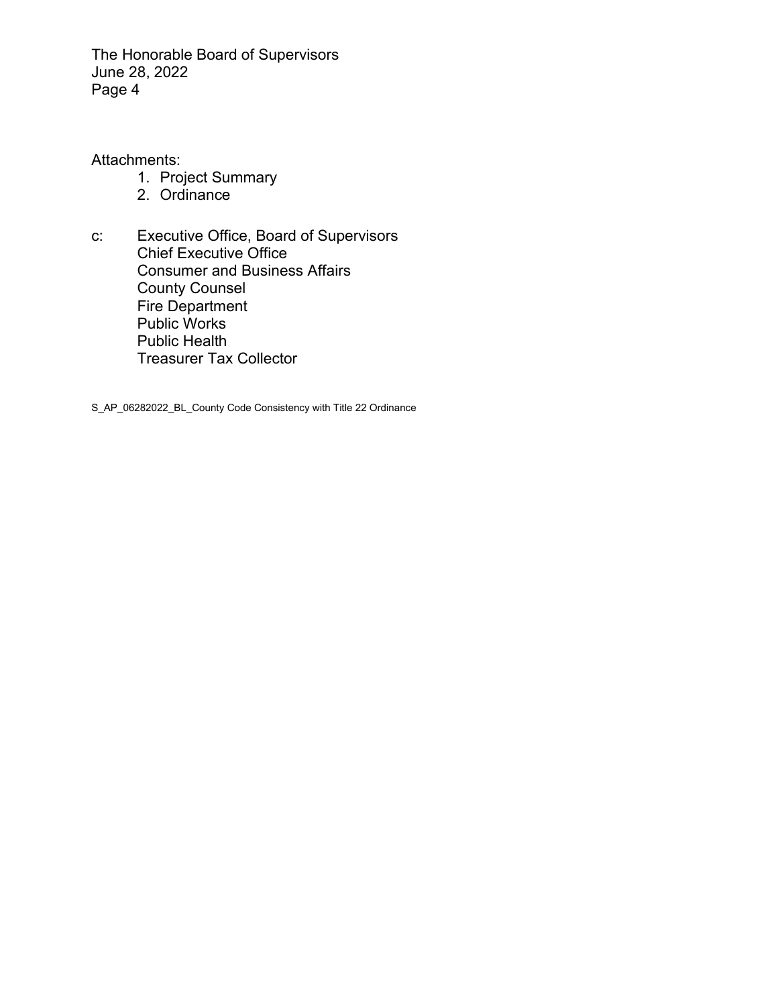The Honorable Board of Supervisors June 28, 2022 Page 4

Attachments:

- 1. Project Summary
- 2. Ordinance
- c: Executive Office, Board of Supervisors Chief Executive Office Consumer and Business Affairs County Counsel Fire Department Public Works Public Health Treasurer Tax Collector

S\_AP\_06282022\_BL\_County Code Consistency with Title 22 Ordinance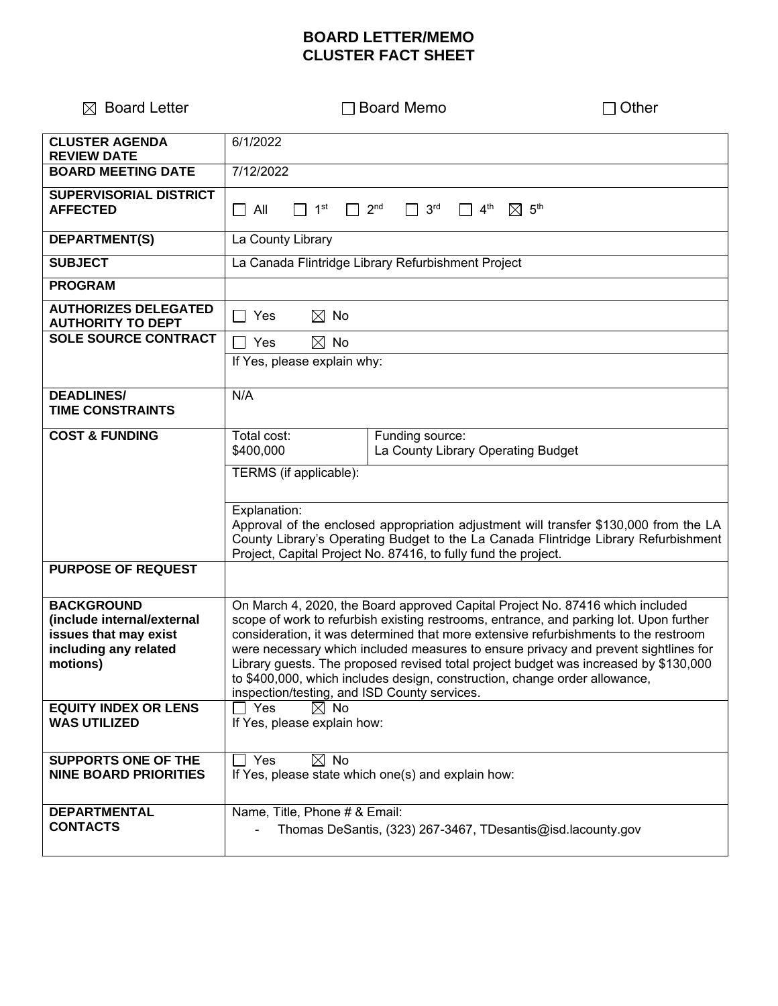# **BOARD LETTER/MEMO CLUSTER FACT SHEET**

| $\boxtimes$ Board Letter                                                                                      | <b>Board Memo</b>                                                                                                                                                                                                                                                                                                                                                                                                                                                                                                                                                           | Other |  |
|---------------------------------------------------------------------------------------------------------------|-----------------------------------------------------------------------------------------------------------------------------------------------------------------------------------------------------------------------------------------------------------------------------------------------------------------------------------------------------------------------------------------------------------------------------------------------------------------------------------------------------------------------------------------------------------------------------|-------|--|
| <b>CLUSTER AGENDA</b><br><b>REVIEW DATE</b>                                                                   | 6/1/2022                                                                                                                                                                                                                                                                                                                                                                                                                                                                                                                                                                    |       |  |
| <b>BOARD MEETING DATE</b>                                                                                     | 7/12/2022                                                                                                                                                                                                                                                                                                                                                                                                                                                                                                                                                                   |       |  |
| <b>SUPERVISORIAL DISTRICT</b><br><b>AFFECTED</b>                                                              | 1 <sup>st</sup><br>2 <sub>nd</sub><br>3 <sup>rd</sup><br>4 <sup>th</sup><br>$\boxtimes$ 5 <sup>th</sup><br>$\Box$ All                                                                                                                                                                                                                                                                                                                                                                                                                                                       |       |  |
| <b>DEPARTMENT(S)</b>                                                                                          | La County Library                                                                                                                                                                                                                                                                                                                                                                                                                                                                                                                                                           |       |  |
| <b>SUBJECT</b>                                                                                                | La Canada Flintridge Library Refurbishment Project                                                                                                                                                                                                                                                                                                                                                                                                                                                                                                                          |       |  |
| <b>PROGRAM</b>                                                                                                |                                                                                                                                                                                                                                                                                                                                                                                                                                                                                                                                                                             |       |  |
| <b>AUTHORIZES DELEGATED</b><br><b>AUTHORITY TO DEPT</b>                                                       | $\boxtimes$ No<br>Yes                                                                                                                                                                                                                                                                                                                                                                                                                                                                                                                                                       |       |  |
| <b>SOLE SOURCE CONTRACT</b>                                                                                   | $\boxtimes$ No<br>Yes                                                                                                                                                                                                                                                                                                                                                                                                                                                                                                                                                       |       |  |
|                                                                                                               | If Yes, please explain why:                                                                                                                                                                                                                                                                                                                                                                                                                                                                                                                                                 |       |  |
| <b>DEADLINES/</b><br><b>TIME CONSTRAINTS</b>                                                                  | N/A                                                                                                                                                                                                                                                                                                                                                                                                                                                                                                                                                                         |       |  |
| <b>COST &amp; FUNDING</b>                                                                                     | Total cost:<br>Funding source:<br>La County Library Operating Budget<br>\$400,000                                                                                                                                                                                                                                                                                                                                                                                                                                                                                           |       |  |
|                                                                                                               | TERMS (if applicable):                                                                                                                                                                                                                                                                                                                                                                                                                                                                                                                                                      |       |  |
|                                                                                                               | Explanation:<br>Approval of the enclosed appropriation adjustment will transfer \$130,000 from the LA<br>County Library's Operating Budget to the La Canada Flintridge Library Refurbishment<br>Project, Capital Project No. 87416, to fully fund the project.                                                                                                                                                                                                                                                                                                              |       |  |
| <b>PURPOSE OF REQUEST</b>                                                                                     |                                                                                                                                                                                                                                                                                                                                                                                                                                                                                                                                                                             |       |  |
| <b>BACKGROUND</b><br>(include internal/external<br>issues that may exist<br>including any related<br>motions) | On March 4, 2020, the Board approved Capital Project No. 87416 which included<br>scope of work to refurbish existing restrooms, entrance, and parking lot. Upon further<br>consideration, it was determined that more extensive refurbishments to the restroom<br>were necessary which included measures to ensure privacy and prevent sightlines for<br>Library guests. The proposed revised total project budget was increased by \$130,000<br>to \$400,000, which includes design, construction, change order allowance,<br>inspection/testing, and ISD County services. |       |  |
| <b>EQUITY INDEX OR LENS</b><br><b>WAS UTILIZED</b>                                                            | Yes<br>⊠ No<br>If Yes, please explain how:                                                                                                                                                                                                                                                                                                                                                                                                                                                                                                                                  |       |  |
| <b>SUPPORTS ONE OF THE</b><br><b>NINE BOARD PRIORITIES</b>                                                    | Π Yes<br>$\boxtimes$ No<br>If Yes, please state which one(s) and explain how:                                                                                                                                                                                                                                                                                                                                                                                                                                                                                               |       |  |
| <b>DEPARTMENTAL</b><br><b>CONTACTS</b>                                                                        | Name, Title, Phone # & Email:<br>Thomas DeSantis, (323) 267-3467, TDesantis@isd.lacounty.gov                                                                                                                                                                                                                                                                                                                                                                                                                                                                                |       |  |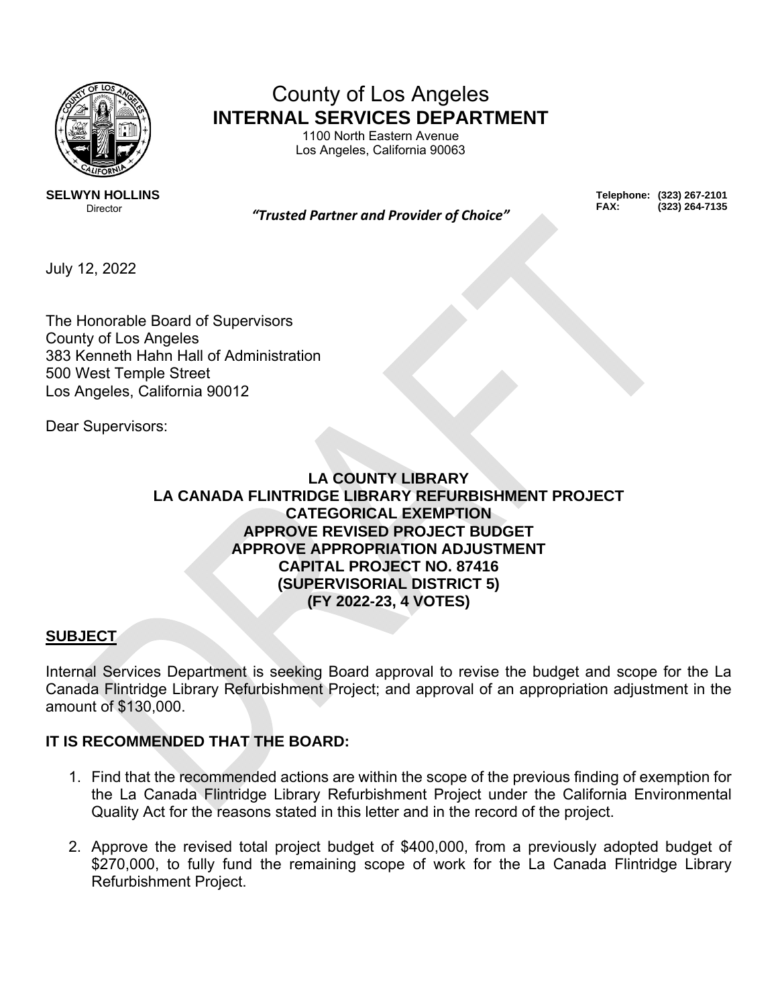

# County of Los Angeles **INTERNAL SERVICES DEPARTMENT**

1100 North Eastern Avenue Los Angeles, California 90063

**SELWYN HOLLINS** 

Director *"Trusted Partner and Provider of Choice"*

**Telephone: (323) 267-2101 FAX: (323) 264-7135** 

July 12, 2022

The Honorable Board of Supervisors County of Los Angeles 383 Kenneth Hahn Hall of Administration 500 West Temple Street Los Angeles, California 90012

Dear Supervisors:

# **LA COUNTY LIBRARY LA CANADA FLINTRIDGE LIBRARY REFURBISHMENT PROJECT CATEGORICAL EXEMPTION APPROVE REVISED PROJECT BUDGET APPROVE APPROPRIATION ADJUSTMENT CAPITAL PROJECT NO. 87416 (SUPERVISORIAL DISTRICT 5) (FY 2022-23, 4 VOTES)**

# **SUBJECT**

Internal Services Department is seeking Board approval to revise the budget and scope for the La Canada Flintridge Library Refurbishment Project; and approval of an appropriation adjustment in the amount of \$130,000.

# **IT IS RECOMMENDED THAT THE BOARD:**

- 1. Find that the recommended actions are within the scope of the previous finding of exemption for the La Canada Flintridge Library Refurbishment Project under the California Environmental Quality Act for the reasons stated in this letter and in the record of the project.
- 2. Approve the revised total project budget of \$400,000, from a previously adopted budget of \$270,000, to fully fund the remaining scope of work for the La Canada Flintridge Library Refurbishment Project.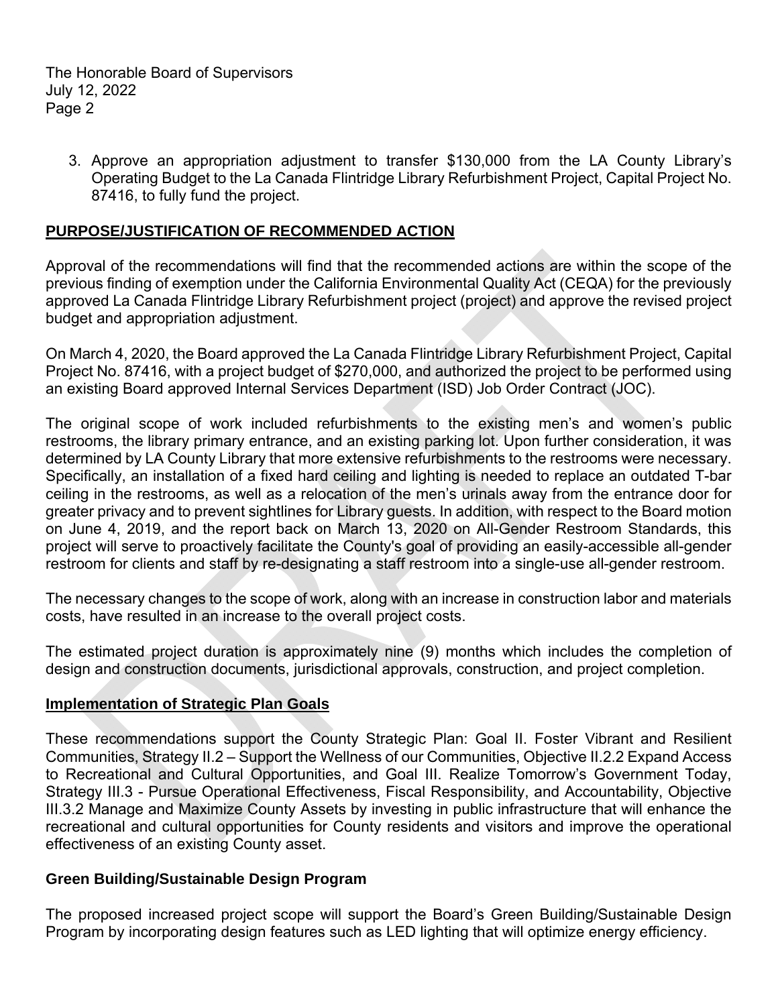The Honorable Board of Supervisors July 12, 2022 Page 2

3. Approve an appropriation adjustment to transfer \$130,000 from the LA County Library's Operating Budget to the La Canada Flintridge Library Refurbishment Project, Capital Project No. 87416, to fully fund the project.

### **PURPOSE/JUSTIFICATION OF RECOMMENDED ACTION**

Approval of the recommendations will find that the recommended actions are within the scope of the previous finding of exemption under the California Environmental Quality Act (CEQA) for the previously approved La Canada Flintridge Library Refurbishment project (project) and approve the revised project budget and appropriation adjustment.

On March 4, 2020, the Board approved the La Canada Flintridge Library Refurbishment Project, Capital Project No. 87416, with a project budget of \$270,000, and authorized the project to be performed using an existing Board approved Internal Services Department (ISD) Job Order Contract (JOC).

The original scope of work included refurbishments to the existing men's and women's public restrooms, the library primary entrance, and an existing parking lot. Upon further consideration, it was determined by LA County Library that more extensive refurbishments to the restrooms were necessary. Specifically, an installation of a fixed hard ceiling and lighting is needed to replace an outdated T-bar ceiling in the restrooms, as well as a relocation of the men's urinals away from the entrance door for greater privacy and to prevent sightlines for Library guests. In addition, with respect to the Board motion on June 4, 2019, and the report back on March 13, 2020 on All-Gender Restroom Standards, this project will serve to proactively facilitate the County's goal of providing an easily-accessible all-gender restroom for clients and staff by re-designating a staff restroom into a single-use all-gender restroom.

The necessary changes to the scope of work, along with an increase in construction labor and materials costs, have resulted in an increase to the overall project costs.

The estimated project duration is approximately nine (9) months which includes the completion of design and construction documents, jurisdictional approvals, construction, and project completion.

### **Implementation of Strategic Plan Goals**

These recommendations support the County Strategic Plan: Goal II. Foster Vibrant and Resilient Communities, Strategy II.2 – Support the Wellness of our Communities, Objective II.2.2 Expand Access to Recreational and Cultural Opportunities, and Goal III. Realize Tomorrow's Government Today, Strategy III.3 - Pursue Operational Effectiveness, Fiscal Responsibility, and Accountability, Objective III.3.2 Manage and Maximize County Assets by investing in public infrastructure that will enhance the recreational and cultural opportunities for County residents and visitors and improve the operational effectiveness of an existing County asset.

### **Green Building/Sustainable Design Program**

The proposed increased project scope will support the Board's Green Building/Sustainable Design Program by incorporating design features such as LED lighting that will optimize energy efficiency.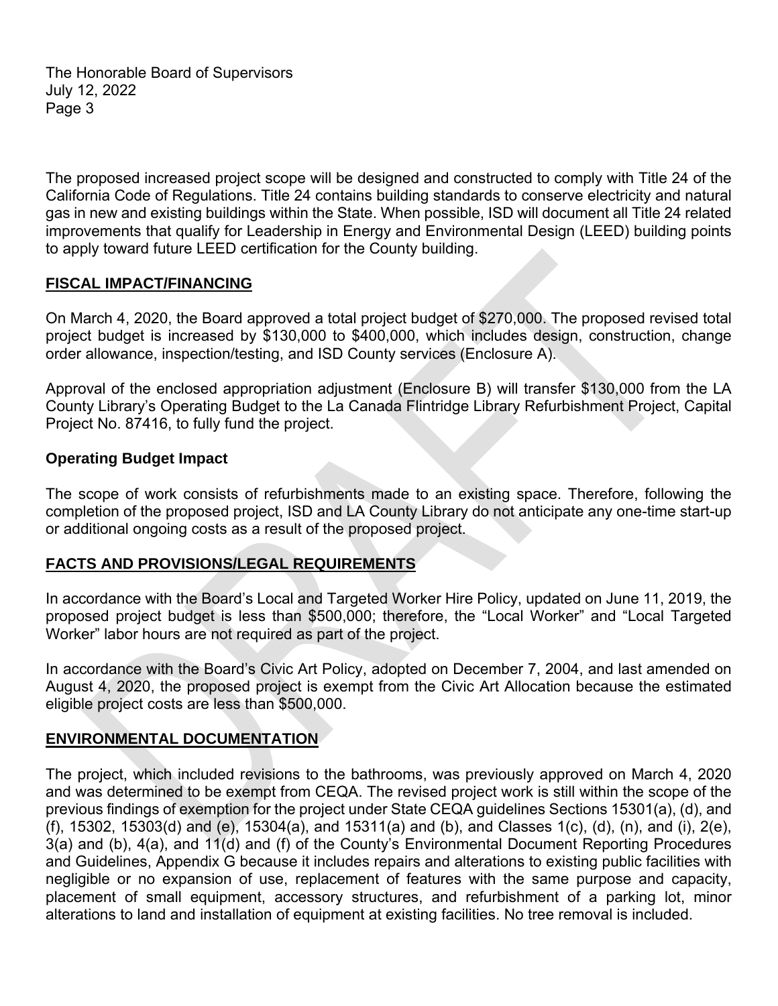The Honorable Board of Supervisors July 12, 2022 Page 3

The proposed increased project scope will be designed and constructed to comply with Title 24 of the California Code of Regulations. Title 24 contains building standards to conserve electricity and natural gas in new and existing buildings within the State. When possible, ISD will document all Title 24 related improvements that qualify for Leadership in Energy and Environmental Design (LEED) building points to apply toward future LEED certification for the County building.

## **FISCAL IMPACT/FINANCING**

On March 4, 2020, the Board approved a total project budget of \$270,000. The proposed revised total project budget is increased by \$130,000 to \$400,000, which includes design, construction, change order allowance, inspection/testing, and ISD County services (Enclosure A).

Approval of the enclosed appropriation adjustment (Enclosure B) will transfer \$130,000 from the LA County Library's Operating Budget to the La Canada Flintridge Library Refurbishment Project, Capital Project No. 87416, to fully fund the project.

### **Operating Budget Impact**

The scope of work consists of refurbishments made to an existing space. Therefore, following the completion of the proposed project, ISD and LA County Library do not anticipate any one-time start-up or additional ongoing costs as a result of the proposed project.

# **FACTS AND PROVISIONS/LEGAL REQUIREMENTS**

In accordance with the Board's Local and Targeted Worker Hire Policy, updated on June 11, 2019, the proposed project budget is less than \$500,000; therefore, the "Local Worker" and "Local Targeted Worker" labor hours are not required as part of the project.

In accordance with the Board's Civic Art Policy, adopted on December 7, 2004, and last amended on August 4, 2020, the proposed project is exempt from the Civic Art Allocation because the estimated eligible project costs are less than \$500,000.

# **ENVIRONMENTAL DOCUMENTATION**

The project, which included revisions to the bathrooms, was previously approved on March 4, 2020 and was determined to be exempt from CEQA. The revised project work is still within the scope of the previous findings of exemption for the project under State CEQA guidelines Sections 15301(a), (d), and (f), 15302, 15303(d) and (e), 15304(a), and 15311(a) and (b), and Classes 1(c), (d), (n), and (i), 2(e), 3(a) and (b), 4(a), and 11(d) and (f) of the County's Environmental Document Reporting Procedures and Guidelines, Appendix G because it includes repairs and alterations to existing public facilities with negligible or no expansion of use, replacement of features with the same purpose and capacity, placement of small equipment, accessory structures, and refurbishment of a parking lot, minor alterations to land and installation of equipment at existing facilities. No tree removal is included.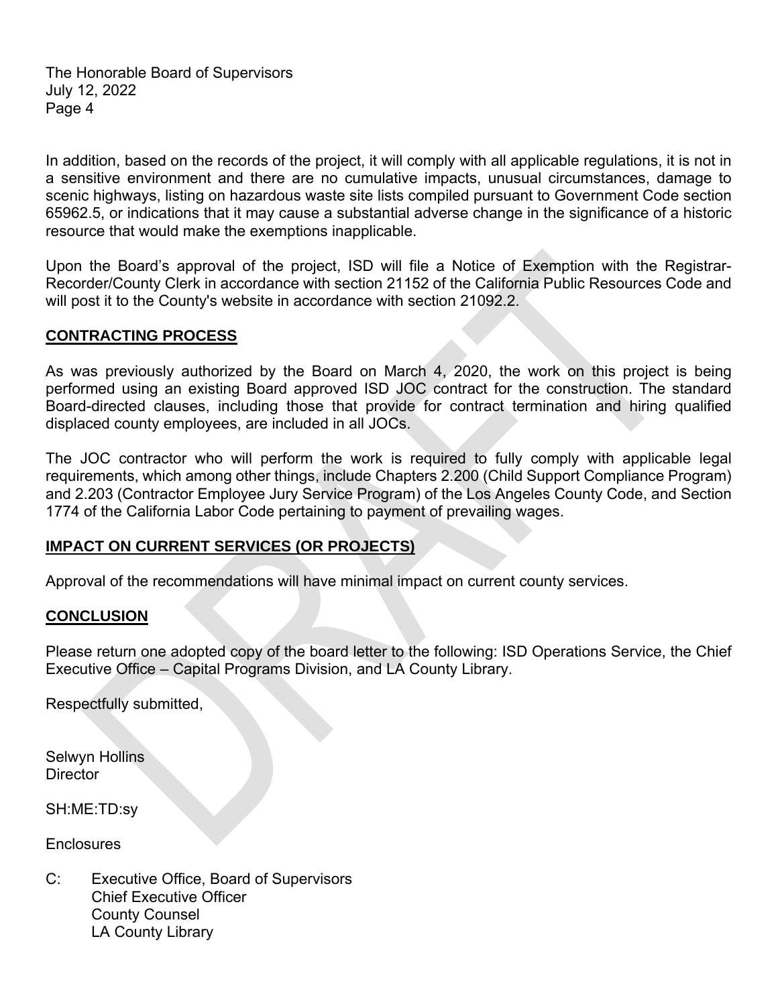The Honorable Board of Supervisors July 12, 2022 Page 4

In addition, based on the records of the project, it will comply with all applicable regulations, it is not in a sensitive environment and there are no cumulative impacts, unusual circumstances, damage to scenic highways, listing on hazardous waste site lists compiled pursuant to Government Code section 65962.5, or indications that it may cause a substantial adverse change in the significance of a historic resource that would make the exemptions inapplicable.

Upon the Board's approval of the project, ISD will file a Notice of Exemption with the Registrar-Recorder/County Clerk in accordance with section 21152 of the California Public Resources Code and will post it to the County's website in accordance with section 21092.2.

## **CONTRACTING PROCESS**

As was previously authorized by the Board on March 4, 2020, the work on this project is being performed using an existing Board approved ISD JOC contract for the construction. The standard Board-directed clauses, including those that provide for contract termination and hiring qualified displaced county employees, are included in all JOCs.

The JOC contractor who will perform the work is required to fully comply with applicable legal requirements, which among other things, include Chapters 2.200 (Child Support Compliance Program) and 2.203 (Contractor Employee Jury Service Program) of the Los Angeles County Code, and Section 1774 of the California Labor Code pertaining to payment of prevailing wages.

### **IMPACT ON CURRENT SERVICES (OR PROJECTS)**

Approval of the recommendations will have minimal impact on current county services.

# **CONCLUSION**

Please return one adopted copy of the board letter to the following: ISD Operations Service, the Chief Executive Office – Capital Programs Division, and LA County Library.

Respectfully submitted,

Selwyn Hollins **Director** 

SH:ME:TD:sy

**Enclosures** 

C: Executive Office, Board of Supervisors Chief Executive Officer County Counsel LA County Library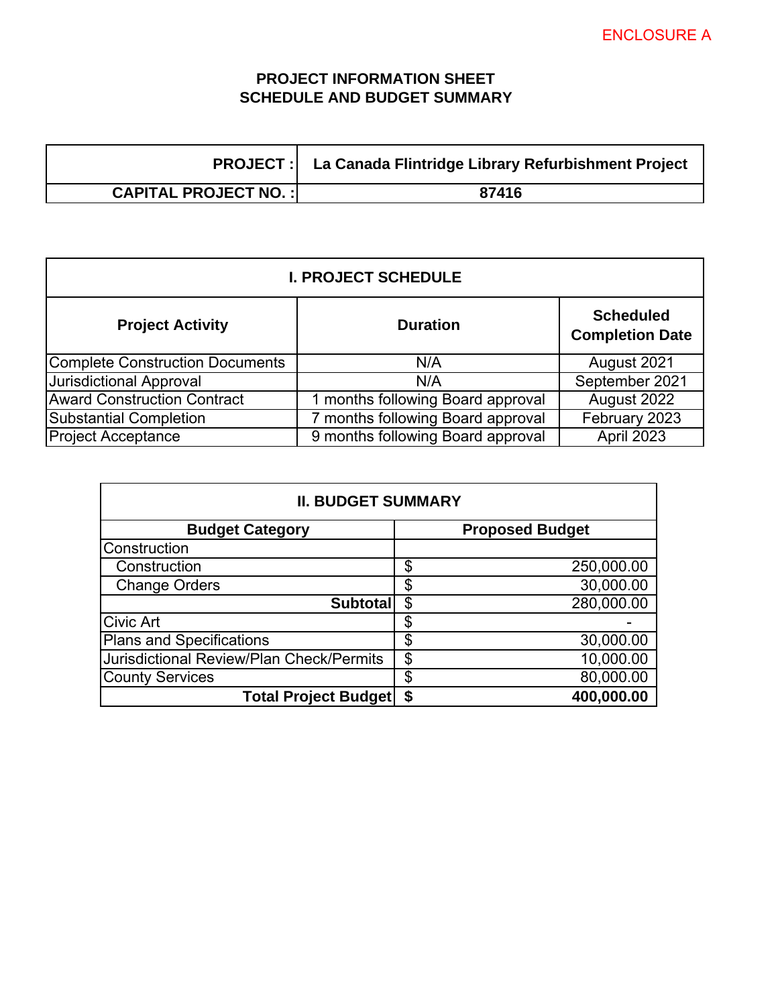# **PROJECT INFORMATION SHEET SCHEDULE AND BUDGET SUMMARY**

|                                | <b>PROJECT:</b> La Canada Flintridge Library Refurbishment Project |
|--------------------------------|--------------------------------------------------------------------|
| <b>CAPITAL PROJECT NO. :  </b> | 87416                                                              |

| <b>I. PROJECT SCHEDULE</b>             |                                   |                                            |  |
|----------------------------------------|-----------------------------------|--------------------------------------------|--|
| <b>Project Activity</b>                | <b>Duration</b>                   | <b>Scheduled</b><br><b>Completion Date</b> |  |
| <b>Complete Construction Documents</b> | N/A                               | August 2021                                |  |
| <b>Jurisdictional Approval</b>         | N/A                               | September 2021                             |  |
| <b>Award Construction Contract</b>     | months following Board approval   | August 2022                                |  |
| <b>Substantial Completion</b>          | months following Board approval   | February 2023                              |  |
| <b>Project Acceptance</b>              | 9 months following Board approval | April 2023                                 |  |

| <b>II. BUDGET SUMMARY</b>                       |    |                        |  |
|-------------------------------------------------|----|------------------------|--|
| <b>Budget Category</b>                          |    | <b>Proposed Budget</b> |  |
| Construction                                    |    |                        |  |
| Construction                                    | \$ | 250,000.00             |  |
| <b>Change Orders</b>                            | \$ | 30,000.00              |  |
| <b>Subtotal</b>                                 | \$ | 280,000.00             |  |
| <b>Civic Art</b>                                |    |                        |  |
| <b>Plans and Specifications</b>                 | \$ | 30,000.00              |  |
| <b>Jurisdictional Review/Plan Check/Permits</b> | \$ | 10,000.00              |  |
| <b>County Services</b>                          | \$ | 80,000.00              |  |
| <b>Total Project Budget</b>                     | \$ | 400,000.00             |  |